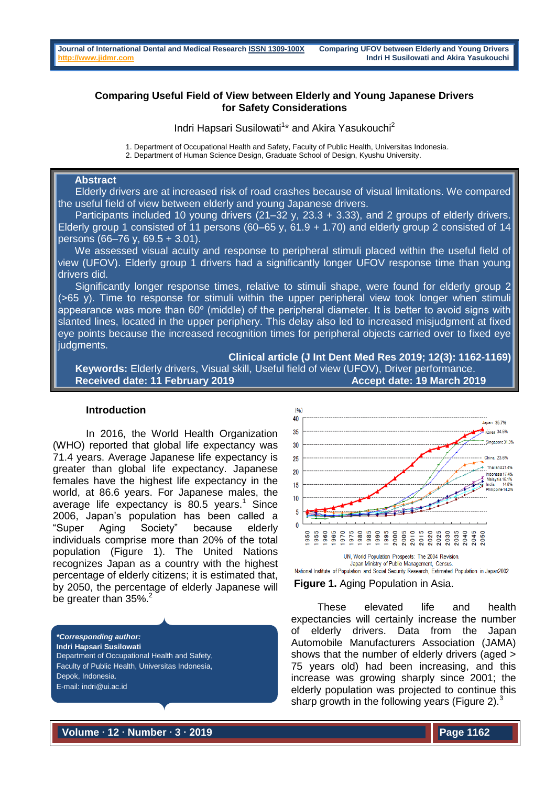# **Comparing Useful Field of View between Elderly and Young Japanese Drivers for Safety Considerations**

Indri Hapsari Susilowati<sup>1</sup>\* and Akira Yasukouchi<sup>2</sup>

1. Department of Occupational Health and Safety, Faculty of Public Health, Universitas Indonesia.

2. Department of Human Science Design, Graduate School of Design, Kyushu University.

# **Abstract**

 Elderly drivers are at increased risk of road crashes because of visual limitations. We compared the useful field of view between elderly and young Japanese drivers.

 Participants included 10 young drivers (21–32 y, 23.3 + 3.33), and 2 groups of elderly drivers. Elderly group 1 consisted of 11 persons (60–65 y, 61.9 + 1.70) and elderly group 2 consisted of 14 persons (66–76 y, 69.5 + 3.01).

 We assessed visual acuity and response to peripheral stimuli placed within the useful field of view (UFOV). Elderly group 1 drivers had a significantly longer UFOV response time than young drivers did.

 Significantly longer response times, relative to stimuli shape, were found for elderly group 2 (>65 y). Time to response for stimuli within the upper peripheral view took longer when stimuli appearance was more than 60º (middle) of the peripheral diameter. It is better to avoid signs with slanted lines, located in the upper periphery. This delay also led to increased misjudgment at fixed eye points because the increased recognition times for peripheral objects carried over to fixed eye judgments.

**Clinical article (J Int Dent Med Res 2019; 12(3): 1162-1169) Keywords:** Elderly drivers, Visual skill, Useful field of view (UFOV), Driver performance. Received date: 11 February 2019 **Accept date: 19 March 2019** 

#### **Introduction**

In 2016, the World Health Organization (WHO) reported that global life expectancy was 71.4 years. Average Japanese life expectancy is greater than global life expectancy. Japanese females have the highest life expectancy in the world, at 86.6 years. For Japanese males, the average life expectancy is 80.5 years. <sup>1</sup> Since 2006, Japan's population has been called a "Super Aging Society" because elderly individuals comprise more than 20% of the total population (Figure 1). The United Nations recognizes Japan as a country with the highest percentage of elderly citizens; it is estimated that, by 2050, the percentage of elderly Japanese will be greater than 35%.<sup>2</sup>

*\*Corresponding author:* **Indri Hapsari Susilowati** Department of Occupational Health and Safety, Faculty of Public Health, Universitas Indonesia, Depok, Indonesia. E-mail: indri@ui.ac.id



**Figure 1.** Aging Population in Asia.

These elevated life and health expectancies will certainly increase the number of elderly drivers. Data from the Japan Automobile Manufacturers Association (JAMA) shows that the number of elderly drivers (aged > 75 years old) had been increasing, and this increase was growing sharply since 2001; the elderly population was projected to continue this sharp growth in the following years (Figure 2). $3$ 

**Volume ∙ 12 ∙ Number ∙ 3 ∙ 2019**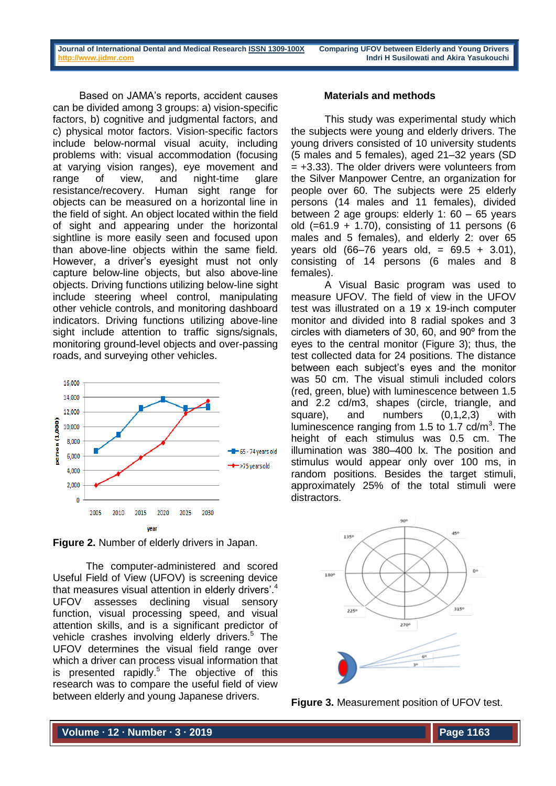Based on JAMA's reports, accident causes can be divided among 3 groups: a) vision-specific factors, b) cognitive and judgmental factors, and c) physical motor factors. Vision-specific factors include below-normal visual acuity, including problems with: visual accommodation (focusing at varying vision ranges), eye movement and range of view, and night-time glare resistance/recovery. Human sight range for objects can be measured on a horizontal line in the field of sight. An object located within the field of sight and appearing under the horizontal sightline is more easily seen and focused upon than above-line objects within the same field. However, a driver's eyesight must not only capture below-line objects, but also above-line objects. Driving functions utilizing below-line sight include steering wheel control, manipulating other vehicle controls, and monitoring dashboard indicators. Driving functions utilizing above-line sight include attention to traffic signs/signals, monitoring ground-level objects and over-passing roads, and surveying other vehicles.



**Figure 2.** Number of elderly drivers in Japan.

The computer-administered and scored Useful Field of View (UFOV) is screening device that measures visual attention in elderly drivers'.<sup>4</sup> UFOV assesses declining visual sensory function, visual processing speed, and visual attention skills, and is a significant predictor of vehicle crashes involving elderly drivers.<sup>5</sup> The UFOV determines the visual field range over which a driver can process visual information that is presented rapidly. $5$  The objective of this research was to compare the useful field of view between elderly and young Japanese drivers.

#### **Materials and methods**

This study was experimental study which the subjects were young and elderly drivers. The young drivers consisted of 10 university students (5 males and 5 females), aged 21–32 years (SD  $= +3.33$ ). The older drivers were volunteers from the Silver Manpower Centre, an organization for people over 60. The subjects were 25 elderly persons (14 males and 11 females), divided between 2 age groups: elderly 1: 60 – 65 years old  $(=61.9 + 1.70)$ , consisting of 11 persons (6 males and 5 females), and elderly 2: over 65 years old  $(66–76 \text{ years}$  old, =  $69.5 + 3.01$ ), consisting of 14 persons (6 males and 8 females).

A Visual Basic program was used to measure UFOV. The field of view in the UFOV test was illustrated on a 19 x 19-inch computer monitor and divided into 8 radial spokes and 3 circles with diameters of 30, 60, and 90º from the eyes to the central monitor (Figure 3); thus, the test collected data for 24 positions. The distance between each subject's eyes and the monitor was 50 cm. The visual stimuli included colors (red, green, blue) with luminescence between 1.5 and 2.2 cd/m3, shapes (circle, triangle, and square), and numbers (0,1,2,3) with luminescence ranging from 1.5 to 1.7  $cd/m<sup>3</sup>$ . The height of each stimulus was 0.5 cm. The illumination was 380–400 lx. The position and stimulus would appear only over 100 ms, in random positions. Besides the target stimuli, approximately 25% of the total stimuli were distractors.



**Figure 3.** Measurement position of UFOV test.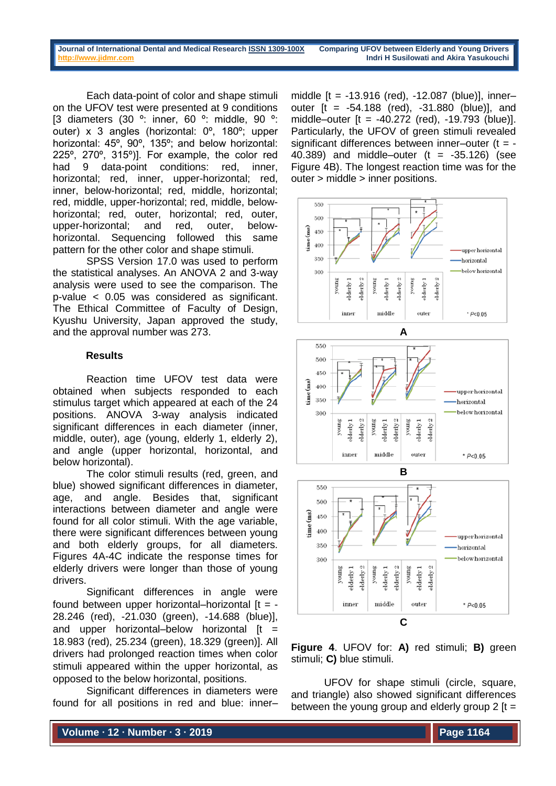**Journal of International Dental and Medical Research ISSN [1309-100X](http://www.ektodermaldisplazi.com/dergi.htm) Comparing UFOV between Elderly and Young Drivers [http://www.jidmr.com](http://www.jidmr.com/) Indri H Susilowati and Akira Yasukouchi**

Each data-point of color and shape stimuli on the UFOV test were presented at 9 conditions [3 diameters (30 º: inner, 60 º: middle, 90 º: outer) x 3 angles (horizontal: 0º, 180º; upper horizontal: 45º, 90º, 135º; and below horizontal: 225º, 270º, 315º)]. For example, the color red had 9 data-point conditions: red, inner, horizontal; red, inner, upper-horizontal; red, inner, below-horizontal; red, middle, horizontal; red, middle, upper-horizontal; red, middle, belowhorizontal; red, outer, horizontal; red, outer, upper-horizontal; and red, outer, belowhorizontal. Sequencing followed this same pattern for the other color and shape stimuli.

SPSS Version 17.0 was used to perform the statistical analyses. An ANOVA 2 and 3-way analysis were used to see the comparison. The p-value < 0.05 was considered as significant. The Ethical Committee of Faculty of Design, Kyushu University, Japan approved the study, and the approval number was 273.

### **Results**

Reaction time UFOV test data were obtained when subjects responded to each stimulus target which appeared at each of the 24 positions. ANOVA 3-way analysis indicated significant differences in each diameter (inner, middle, outer), age (young, elderly 1, elderly 2), and angle (upper horizontal, horizontal, and below horizontal).

The color stimuli results (red, green, and blue) showed significant differences in diameter, age, and angle. Besides that, significant interactions between diameter and angle were found for all color stimuli. With the age variable, there were significant differences between young and both elderly groups, for all diameters. Figures 4A-4C indicate the response times for elderly drivers were longer than those of young drivers.

Significant differences in angle were found between upper horizontal–horizontal  $[t = -$ 28.246 (red), -21.030 (green), -14.688 (blue)], and upper horizontal–below horizontal  $[t =$ 18.983 (red), 25.234 (green), 18.329 (green)]. All drivers had prolonged reaction times when color stimuli appeared within the upper horizontal, as opposed to the below horizontal, positions.

Significant differences in diameters were found for all positions in red and blue: inner– middle [t = -13.916 (red), -12.087 (blue)], inner– outer [t = -54.188 (red), -31.880 (blue)], and middle–outer  $[t = -40.272$  (red),  $-19.793$  (blue)]. Particularly, the UFOV of green stimuli revealed significant differences between inner–outer  $(t = -$ 40.389) and middle–outer  $(t = -35.126)$  (see Figure 4B). The longest reaction time was for the outer > middle > inner positions.



**Figure 4**. UFOV for: **A)** red stimuli; **B)** green stimuli; **C)** blue stimuli.

UFOV for shape stimuli (circle, square, and triangle) also showed significant differences between the young group and elderly group  $2$  [t =

**Volume ∙ 12 ∙ Number ∙ 3 ∙ 2019**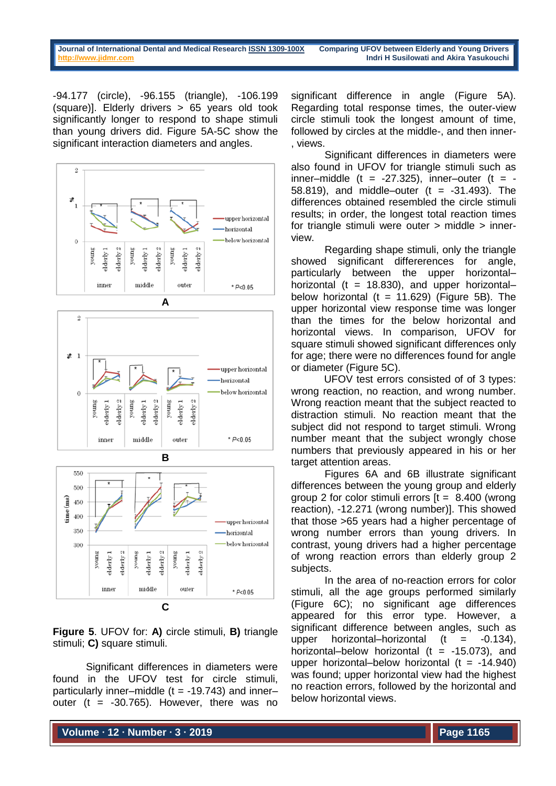-94.177 (circle), -96.155 (triangle), -106.199 (square)]. Elderly drivers > 65 years old took significantly longer to respond to shape stimuli than young drivers did. Figure 5A-5C show the significant interaction diameters and angles.







**Figure 5**. UFOV for: **A)** circle stimuli, **B)** triangle stimuli; **C)** square stimuli.

Significant differences in diameters were found in the UFOV test for circle stimuli, particularly inner–middle ( $t = -19.743$ ) and inner– outer (t =  $-30.765$ ). However, there was no significant difference in angle (Figure 5A). Regarding total response times, the outer-view circle stimuli took the longest amount of time, followed by circles at the middle-, and then inner- , views.

Significant differences in diameters were also found in UFOV for triangle stimuli such as inner–middle (t =  $-27.325$ ), inner–outer (t =  $-$ 58.819), and middle–outer  $(t = -31.493)$ . The differences obtained resembled the circle stimuli results; in order, the longest total reaction times for triangle stimuli were outer > middle > innerview.

Regarding shape stimuli, only the triangle showed significant differerences for angle, particularly between the upper horizontal– horizontal (t = 18.830), and upper horizontalbelow horizontal ( $t = 11.629$ ) (Figure 5B). The upper horizontal view response time was longer than the times for the below horizontal and horizontal views. In comparison, UFOV for square stimuli showed significant differences only for age; there were no differences found for angle or diameter (Figure 5C).

UFOV test errors consisted of of 3 types: wrong reaction, no reaction, and wrong number. Wrong reaction meant that the subject reacted to distraction stimuli. No reaction meant that the subject did not respond to target stimuli. Wrong number meant that the subject wrongly chose numbers that previously appeared in his or her target attention areas.

Figures 6A and 6B illustrate significant differences between the young group and elderly group 2 for color stimuli errors  $[t = 8.400$  (wrong reaction), -12.271 (wrong number)]. This showed that those >65 years had a higher percentage of wrong number errors than young drivers. In contrast, young drivers had a higher percentage of wrong reaction errors than elderly group 2 subjects.

In the area of no-reaction errors for color stimuli, all the age groups performed similarly (Figure 6C); no significant age differences appeared for this error type. However, a significant difference between angles, such as upper horizontal–horizontal  $(t = -0.134)$ . horizontal–below horizontal ( $t = -15.073$ ), and upper horizontal–below horizontal  $(t = -14.940)$ was found; upper horizontal view had the highest no reaction errors, followed by the horizontal and below horizontal views.

**Volume ∙ 12 ∙ Number ∙ 3 ∙ 2019**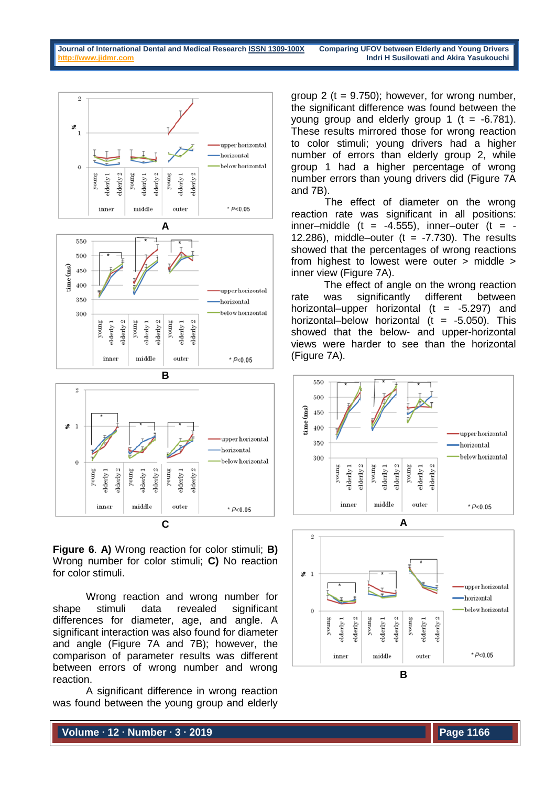

below horizontal  $\Omega$ derly<sub>2</sub> lderly<sub>2</sub> young voung elderly 1 voung derly 1 alderly 1 elderly: middle inner outer  $* P < 0.05$ 

**Figure 6**. **A)** Wrong reaction for color stimuli; **B)** Wrong number for color stimuli; **C)** No reaction for color stimuli.

**C**

Wrong reaction and wrong number for shape stimuli data revealed significant differences for diameter, age, and angle. A significant interaction was also found for diameter and angle (Figure 7A and 7B); however, the comparison of parameter results was different between errors of wrong number and wrong reaction.

A significant difference in wrong reaction was found between the young group and elderly

group 2 ( $t = 9.750$ ); however, for wrong number, the significant difference was found between the young group and elderly group 1  $(t = -6.781)$ . These results mirrored those for wrong reaction to color stimuli; young drivers had a higher number of errors than elderly group 2, while group 1 had a higher percentage of wrong number errors than young drivers did (Figure 7A and 7B).

The effect of diameter on the wrong reaction rate was significant in all positions: inner–middle (t =  $-4.555$ ), inner–outer (t =  $-$ 12.286), middle–outer ( $t = -7.730$ ). The results showed that the percentages of wrong reactions from highest to lowest were outer > middle > inner view (Figure 7A).

The effect of angle on the wrong reaction rate was significantly different between horizontal–upper horizontal  $(t = -5.297)$  and horizontal–below horizontal (t =  $-5.050$ ). This showed that the below- and upper-horizontal views were harder to see than the horizontal (Figure 7A).





**Volume ∙ 12 ∙ Number ∙ 3 ∙ 2019**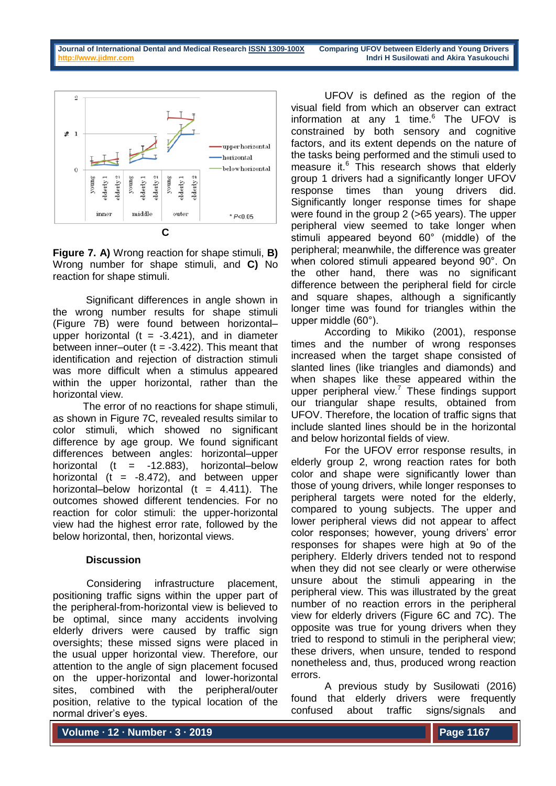

**Figure 7. A)** Wrong reaction for shape stimuli, **B)** Wrong number for shape stimuli, and **C)** No reaction for shape stimuli.

Significant differences in angle shown in the wrong number results for shape stimuli (Figure 7B) were found between horizontal– upper horizontal ( $t = -3.421$ ), and in diameter between inner–outer ( $t = -3.422$ ). This meant that identification and rejection of distraction stimuli was more difficult when a stimulus appeared within the upper horizontal, rather than the horizontal view.

The error of no reactions for shape stimuli, as shown in Figure 7C, revealed results similar to color stimuli, which showed no significant difference by age group. We found significant differences between angles: horizontal–upper horizontal (t =  $-12.883$ ), horizontal–below horizontal (t =  $-8.472$ ), and between upper horizontal–below horizontal (t =  $4.411$ ). The outcomes showed different tendencies. For no reaction for color stimuli: the upper-horizontal view had the highest error rate, followed by the below horizontal, then, horizontal views.

## **Discussion**

Considering infrastructure placement, positioning traffic signs within the upper part of the peripheral-from-horizontal view is believed to be optimal, since many accidents involving elderly drivers were caused by traffic sign oversights; these missed signs were placed in the usual upper horizontal view. Therefore, our attention to the angle of sign placement focused on the upper-horizontal and lower-horizontal sites, combined with the peripheral/outer position, relative to the typical location of the normal driver's eyes.

UFOV is defined as the region of the visual field from which an observer can extract information at any 1 time. $6$  The UFOV is constrained by both sensory and cognitive factors, and its extent depends on the nature of the tasks being performed and the stimuli used to measure it.<sup>6</sup> This research shows that elderly group 1 drivers had a significantly longer UFOV response times than young drivers did. Significantly longer response times for shape were found in the group 2 (>65 years). The upper peripheral view seemed to take longer when stimuli appeared beyond 60° (middle) of the peripheral; meanwhile, the difference was greater when colored stimuli appeared beyond 90°. On the other hand, there was no significant difference between the peripheral field for circle and square shapes, although a significantly longer time was found for triangles within the upper middle (60°).

According to Mikiko (2001), response times and the number of wrong responses increased when the target shape consisted of slanted lines (like triangles and diamonds) and when shapes like these appeared within the upper peripheral view.<sup>7</sup> These findings support our triangular shape results, obtained from UFOV. Therefore, the location of traffic signs that include slanted lines should be in the horizontal and below horizontal fields of view.

For the UFOV error response results, in elderly group 2, wrong reaction rates for both color and shape were significantly lower than those of young drivers, while longer responses to peripheral targets were noted for the elderly, compared to young subjects. The upper and lower peripheral views did not appear to affect color responses; however, young drivers' error responses for shapes were high at 9o of the periphery. Elderly drivers tended not to respond when they did not see clearly or were otherwise unsure about the stimuli appearing in the peripheral view. This was illustrated by the great number of no reaction errors in the peripheral view for elderly drivers (Figure 6C and 7C). The opposite was true for young drivers when they tried to respond to stimuli in the peripheral view; these drivers, when unsure, tended to respond nonetheless and, thus, produced wrong reaction errors.

A previous study by Susilowati (2016) found that elderly drivers were frequently confused about traffic signs/signals and

**Volume ∙ 12 ∙ Number ∙ 3 ∙ 2019**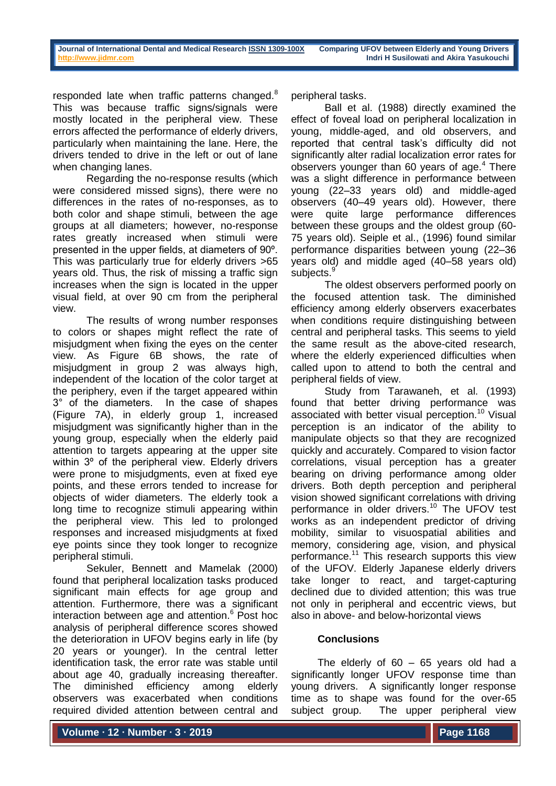responded late when traffic patterns changed.<sup>8</sup> This was because traffic signs/signals were mostly located in the peripheral view. These errors affected the performance of elderly drivers, particularly when maintaining the lane. Here, the drivers tended to drive in the left or out of lane when changing lanes.

Regarding the no-response results (which were considered missed signs), there were no differences in the rates of no-responses, as to both color and shape stimuli, between the age groups at all diameters; however, no-response rates greatly increased when stimuli were presented in the upper fields, at diameters of 90º. This was particularly true for elderly drivers >65 years old. Thus, the risk of missing a traffic sign increases when the sign is located in the upper visual field, at over 90 cm from the peripheral view.

The results of wrong number responses to colors or shapes might reflect the rate of misjudgment when fixing the eyes on the center view. As Figure 6B shows, the rate of misjudgment in group 2 was always high, independent of the location of the color target at the periphery, even if the target appeared within 3° of the diameters. In the case of shapes (Figure 7A), in elderly group 1, increased misjudgment was significantly higher than in the young group, especially when the elderly paid attention to targets appearing at the upper site within 3<sup>o</sup> of the peripheral view. Elderly drivers were prone to misjudgments, even at fixed eye points, and these errors tended to increase for objects of wider diameters. The elderly took a long time to recognize stimuli appearing within the peripheral view. This led to prolonged responses and increased misjudgments at fixed eye points since they took longer to recognize peripheral stimuli.

Sekuler, Bennett and Mamelak (2000) found that peripheral localization tasks produced significant main effects for age group and attention. Furthermore, there was a significant interaction between age and attention.<sup>6</sup> Post hoc analysis of peripheral difference scores showed the deterioration in UFOV begins early in life (by 20 years or younger). In the central letter identification task, the error rate was stable until about age 40, gradually increasing thereafter. The diminished efficiency among elderly observers was exacerbated when conditions required divided attention between central and

peripheral tasks.

Ball et al. (1988) directly examined the effect of foveal load on peripheral localization in young, middle-aged, and old observers, and reported that central task's difficulty did not significantly alter radial localization error rates for observers younger than 60 years of age. $4$  There was a slight difference in performance between young (22–33 years old) and middle-aged observers (40–49 years old). However, there were quite large performance differences between these groups and the oldest group (60- 75 years old). Seiple et al., (1996) found similar performance disparities between young (22–36 years old) and middle aged (40–58 years old) subjects.<sup>9</sup>

The oldest observers performed poorly on the focused attention task. The diminished efficiency among elderly observers exacerbates when conditions require distinguishing between central and peripheral tasks. This seems to yield the same result as the above-cited research, where the elderly experienced difficulties when called upon to attend to both the central and peripheral fields of view.

Study from Tarawaneh, et al. (1993) found that better driving performance was associated with better visual perception.<sup>10</sup> Visual perception is an indicator of the ability to manipulate objects so that they are recognized quickly and accurately. Compared to vision factor correlations, visual perception has a greater bearing on driving performance among older drivers. Both depth perception and peripheral vision showed significant correlations with driving performance in older drivers.<sup>10</sup> The UFOV test works as an independent predictor of driving mobility, similar to visuospatial abilities and memory, considering age, vision, and physical performance.<sup>11</sup> This research supports this view of the UFOV. Elderly Japanese elderly drivers take longer to react, and target-capturing declined due to divided attention; this was true not only in peripheral and eccentric views, but also in above- and below-horizontal views

## **Conclusions**

The elderly of 60 – 65 years old had a significantly longer UFOV response time than young drivers. A significantly longer response time as to shape was found for the over-65 subject group. The upper peripheral view

**Volume ∙ 12 ∙ Number ∙ 3 ∙ 2019**